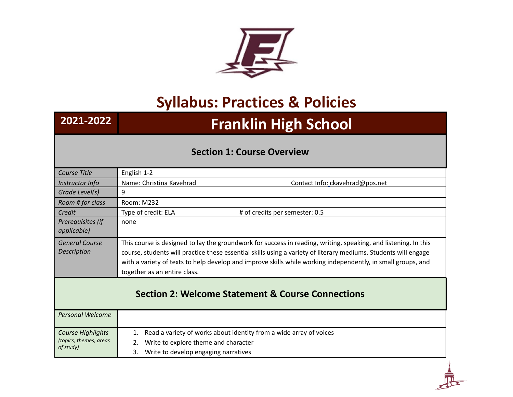

## **Syllabus: Practices & Policies**

## **2021-2022 Franklin High School**

## **Section 1: Course Overview**

| Course Title                                                 | English 1-2                                                                                                                                                                                                                                                                                                                                                                        |  |  |  |  |  |
|--------------------------------------------------------------|------------------------------------------------------------------------------------------------------------------------------------------------------------------------------------------------------------------------------------------------------------------------------------------------------------------------------------------------------------------------------------|--|--|--|--|--|
| Instructor Info                                              | Name: Christina Kavehrad<br>Contact Info: ckavehrad@pps.net                                                                                                                                                                                                                                                                                                                        |  |  |  |  |  |
| Grade Level(s)                                               | 9                                                                                                                                                                                                                                                                                                                                                                                  |  |  |  |  |  |
| Room # for class                                             | Room: M232                                                                                                                                                                                                                                                                                                                                                                         |  |  |  |  |  |
| Credit                                                       | Type of credit: ELA<br># of credits per semester: 0.5                                                                                                                                                                                                                                                                                                                              |  |  |  |  |  |
| Prerequisites (if<br>applicable)                             | none                                                                                                                                                                                                                                                                                                                                                                               |  |  |  |  |  |
| <b>General Course</b><br><b>Description</b>                  | This course is designed to lay the groundwork for success in reading, writing, speaking, and listening. In this<br>course, students will practice these essential skills using a variety of literary mediums. Students will engage<br>with a variety of texts to help develop and improve skills while working independently, in small groups, and<br>together as an entire class. |  |  |  |  |  |
| <b>Section 2: Welcome Statement &amp; Course Connections</b> |                                                                                                                                                                                                                                                                                                                                                                                    |  |  |  |  |  |
| <b>Personal Welcome</b>                                      |                                                                                                                                                                                                                                                                                                                                                                                    |  |  |  |  |  |
| Course Highlights                                            | Read a variety of works about identity from a wide array of voices<br>1.                                                                                                                                                                                                                                                                                                           |  |  |  |  |  |
| (topics, themes, areas                                       | Write to explore theme and character<br>2.                                                                                                                                                                                                                                                                                                                                         |  |  |  |  |  |
| of study)                                                    | Write to develop engaging narratives<br>3.                                                                                                                                                                                                                                                                                                                                         |  |  |  |  |  |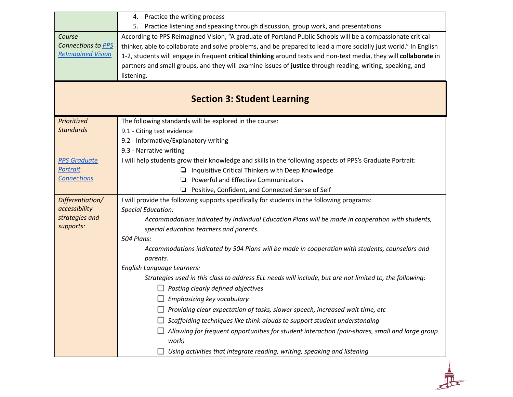|                                    | 4. Practice the writing process                                                                                   |  |  |  |  |  |  |  |
|------------------------------------|-------------------------------------------------------------------------------------------------------------------|--|--|--|--|--|--|--|
|                                    | 5. Practice listening and speaking through discussion, group work, and presentations                              |  |  |  |  |  |  |  |
| Course                             | According to PPS Reimagined Vision, "A graduate of Portland Public Schools will be a compassionate critical       |  |  |  |  |  |  |  |
| Connections to PPS                 | thinker, able to collaborate and solve problems, and be prepared to lead a more socially just world." In English  |  |  |  |  |  |  |  |
| <b>Relmagined Vision</b>           | 1-2, students will engage in frequent critical thinking around texts and non-text media, they will collaborate in |  |  |  |  |  |  |  |
|                                    | partners and small groups, and they will examine issues of justice through reading, writing, speaking, and        |  |  |  |  |  |  |  |
|                                    | listening.                                                                                                        |  |  |  |  |  |  |  |
|                                    |                                                                                                                   |  |  |  |  |  |  |  |
| <b>Section 3: Student Learning</b> |                                                                                                                   |  |  |  |  |  |  |  |
|                                    |                                                                                                                   |  |  |  |  |  |  |  |
| Prioritized                        | The following standards will be explored in the course:                                                           |  |  |  |  |  |  |  |
| <b>Standards</b>                   | 9.1 - Citing text evidence                                                                                        |  |  |  |  |  |  |  |
|                                    | 9.2 - Informative/Explanatory writing                                                                             |  |  |  |  |  |  |  |
|                                    | 9.3 - Narrative writing                                                                                           |  |  |  |  |  |  |  |
| <b>PPS Graduate</b>                | I will help students grow their knowledge and skills in the following aspects of PPS's Graduate Portrait:         |  |  |  |  |  |  |  |
| Portrait                           | Inquisitive Critical Thinkers with Deep Knowledge<br>u.                                                           |  |  |  |  |  |  |  |
| <b>Connections</b>                 | Powerful and Effective Communicators                                                                              |  |  |  |  |  |  |  |
|                                    | $\Box$ Positive, Confident, and Connected Sense of Self                                                           |  |  |  |  |  |  |  |
| Differentiation/                   | I will provide the following supports specifically for students in the following programs:                        |  |  |  |  |  |  |  |
| accessibility<br>strategies and    | <b>Special Education:</b>                                                                                         |  |  |  |  |  |  |  |
| supports:                          | Accommodations indicated by Individual Education Plans will be made in cooperation with students,                 |  |  |  |  |  |  |  |
|                                    | special education teachers and parents.                                                                           |  |  |  |  |  |  |  |
|                                    | 504 Plans:                                                                                                        |  |  |  |  |  |  |  |
|                                    | Accommodations indicated by 504 Plans will be made in cooperation with students, counselors and                   |  |  |  |  |  |  |  |
|                                    | parents.<br>English Language Learners:                                                                            |  |  |  |  |  |  |  |
|                                    | Strategies used in this class to address ELL needs will include, but are not limited to, the following:           |  |  |  |  |  |  |  |
|                                    | Posting clearly defined objectives                                                                                |  |  |  |  |  |  |  |
|                                    |                                                                                                                   |  |  |  |  |  |  |  |
|                                    | Emphasizing key vocabulary                                                                                        |  |  |  |  |  |  |  |
|                                    | Providing clear expectation of tasks, slower speech, increased wait time, etc                                     |  |  |  |  |  |  |  |
|                                    | Scaffolding techniques like think-alouds to support student understanding                                         |  |  |  |  |  |  |  |
|                                    | Allowing for frequent opportunities for student interaction (pair-shares, small and large group<br>work)          |  |  |  |  |  |  |  |
|                                    | Using activities that integrate reading, writing, speaking and listening                                          |  |  |  |  |  |  |  |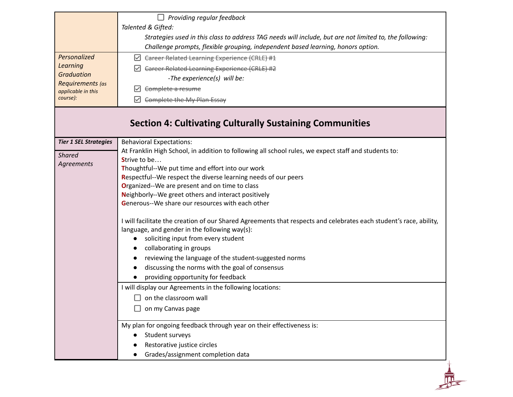|                                        | Providing regular feedback<br>ப                                                                                      |  |  |  |  |  |  |
|----------------------------------------|----------------------------------------------------------------------------------------------------------------------|--|--|--|--|--|--|
|                                        | Talented & Gifted:                                                                                                   |  |  |  |  |  |  |
|                                        | Strategies used in this class to address TAG needs will include, but are not limited to, the following:              |  |  |  |  |  |  |
|                                        | Challenge prompts, flexible grouping, independent based learning, honors option.                                     |  |  |  |  |  |  |
| Personalized                           | ☑ Career Related Learning Experience (CRLE) #1                                                                       |  |  |  |  |  |  |
| <b>Learning</b>                        | <b>Career Related Learning Experience (CRLE) #2</b>                                                                  |  |  |  |  |  |  |
| <b>Graduation</b>                      | -The experience(s) will be:                                                                                          |  |  |  |  |  |  |
| Requirements (as<br>applicable in this | Complete a resume                                                                                                    |  |  |  |  |  |  |
| course):                               | Complete the My Plan Essay<br>⋈                                                                                      |  |  |  |  |  |  |
|                                        | <b>Section 4: Cultivating Culturally Sustaining Communities</b>                                                      |  |  |  |  |  |  |
| <b>Tier 1 SEL Strategies</b>           | <b>Behavioral Expectations:</b>                                                                                      |  |  |  |  |  |  |
| <b>Shared</b>                          | At Franklin High School, in addition to following all school rules, we expect staff and students to:<br>Strive to be |  |  |  |  |  |  |
| Agreements                             | Thoughtful--We put time and effort into our work                                                                     |  |  |  |  |  |  |
|                                        | Respectful--We respect the diverse learning needs of our peers                                                       |  |  |  |  |  |  |
|                                        | Organized--We are present and on time to class                                                                       |  |  |  |  |  |  |
|                                        | Neighborly--We greet others and interact positively                                                                  |  |  |  |  |  |  |
|                                        | Generous--We share our resources with each other                                                                     |  |  |  |  |  |  |
|                                        | I will facilitate the creation of our Shared Agreements that respects and celebrates each student's race, ability,   |  |  |  |  |  |  |
|                                        | language, and gender in the following way(s):                                                                        |  |  |  |  |  |  |
|                                        | soliciting input from every student                                                                                  |  |  |  |  |  |  |
|                                        |                                                                                                                      |  |  |  |  |  |  |
|                                        | collaborating in groups                                                                                              |  |  |  |  |  |  |
|                                        | reviewing the language of the student-suggested norms                                                                |  |  |  |  |  |  |
|                                        | discussing the norms with the goal of consensus                                                                      |  |  |  |  |  |  |
|                                        | providing opportunity for feedback                                                                                   |  |  |  |  |  |  |
|                                        | I will display our Agreements in the following locations:                                                            |  |  |  |  |  |  |
|                                        | $\Box$ on the classroom wall                                                                                         |  |  |  |  |  |  |
|                                        | on my Canvas page                                                                                                    |  |  |  |  |  |  |
|                                        | My plan for ongoing feedback through year on their effectiveness is:                                                 |  |  |  |  |  |  |
|                                        | Student surveys                                                                                                      |  |  |  |  |  |  |
|                                        | Restorative justice circles<br>Grades/assignment completion data                                                     |  |  |  |  |  |  |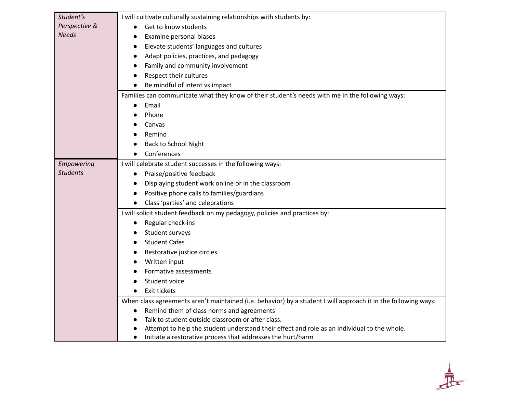| Student's       | I will cultivate culturally sustaining relationships with students by:                                         |  |  |  |  |  |  |
|-----------------|----------------------------------------------------------------------------------------------------------------|--|--|--|--|--|--|
| Perspective &   | Get to know students<br>$\bullet$                                                                              |  |  |  |  |  |  |
| <b>Needs</b>    | Examine personal biases<br>$\bullet$                                                                           |  |  |  |  |  |  |
|                 | Elevate students' languages and cultures<br>$\bullet$                                                          |  |  |  |  |  |  |
|                 | Adapt policies, practices, and pedagogy<br>$\bullet$                                                           |  |  |  |  |  |  |
|                 | Family and community involvement<br>$\bullet$                                                                  |  |  |  |  |  |  |
|                 | Respect their cultures<br>$\bullet$                                                                            |  |  |  |  |  |  |
|                 | Be mindful of intent vs impact                                                                                 |  |  |  |  |  |  |
|                 | Families can communicate what they know of their student's needs with me in the following ways:                |  |  |  |  |  |  |
|                 | Email<br>$\bullet$                                                                                             |  |  |  |  |  |  |
|                 | Phone                                                                                                          |  |  |  |  |  |  |
|                 | Canvas                                                                                                         |  |  |  |  |  |  |
|                 | Remind                                                                                                         |  |  |  |  |  |  |
|                 | Back to School Night                                                                                           |  |  |  |  |  |  |
|                 | Conferences                                                                                                    |  |  |  |  |  |  |
| Empowering      | I will celebrate student successes in the following ways:                                                      |  |  |  |  |  |  |
| <b>Students</b> | Praise/positive feedback<br>$\bullet$                                                                          |  |  |  |  |  |  |
|                 | Displaying student work online or in the classroom<br>$\bullet$                                                |  |  |  |  |  |  |
|                 | Positive phone calls to families/guardians<br>$\bullet$                                                        |  |  |  |  |  |  |
|                 | Class 'parties' and celebrations<br>$\bullet$                                                                  |  |  |  |  |  |  |
|                 | I will solicit student feedback on my pedagogy, policies and practices by:                                     |  |  |  |  |  |  |
|                 | Regular check-ins                                                                                              |  |  |  |  |  |  |
|                 | Student surveys                                                                                                |  |  |  |  |  |  |
|                 | <b>Student Cafes</b><br>$\bullet$                                                                              |  |  |  |  |  |  |
|                 | Restorative justice circles<br>$\bullet$                                                                       |  |  |  |  |  |  |
|                 | Written input<br>$\bullet$                                                                                     |  |  |  |  |  |  |
|                 | Formative assessments                                                                                          |  |  |  |  |  |  |
|                 | Student voice                                                                                                  |  |  |  |  |  |  |
|                 | Exit tickets<br>$\bullet$                                                                                      |  |  |  |  |  |  |
|                 | When class agreements aren't maintained (i.e. behavior) by a student I will approach it in the following ways: |  |  |  |  |  |  |
|                 | Remind them of class norms and agreements<br>$\bullet$                                                         |  |  |  |  |  |  |
|                 | Talk to student outside classroom or after class.<br>$\bullet$                                                 |  |  |  |  |  |  |
|                 | Attempt to help the student understand their effect and role as an individual to the whole.                    |  |  |  |  |  |  |
|                 | Initiate a restorative process that addresses the hurt/harm<br>$\bullet$                                       |  |  |  |  |  |  |

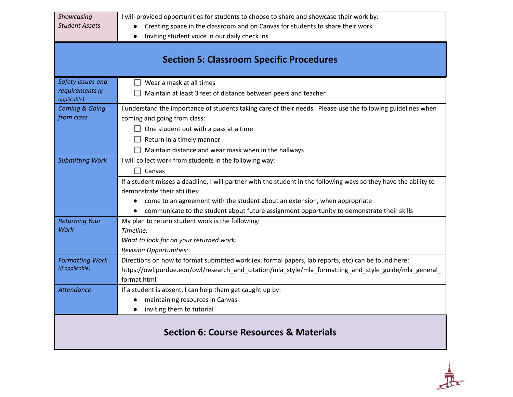| Showcasing                                         | I will provided opportunities for students to choose to share and showcase their work by:                         |  |  |  |  |  |  |
|----------------------------------------------------|-------------------------------------------------------------------------------------------------------------------|--|--|--|--|--|--|
| <b>Student Assets</b>                              | Creating space in the classroom and on Canvas for students to share their work                                    |  |  |  |  |  |  |
|                                                    | Inviting student voice in our daily check ins<br>$\bullet$                                                        |  |  |  |  |  |  |
|                                                    |                                                                                                                   |  |  |  |  |  |  |
|                                                    | <b>Section 5: Classroom Specific Procedures</b>                                                                   |  |  |  |  |  |  |
|                                                    |                                                                                                                   |  |  |  |  |  |  |
| Safety issues and                                  | Wear a mask at all times                                                                                          |  |  |  |  |  |  |
| requirements (if<br>applicable):                   | Maintain at least 3 feet of distance between peers and teacher                                                    |  |  |  |  |  |  |
| <b>Coming &amp; Going</b>                          | I understand the importance of students taking care of their needs. Please use the following guidelines when      |  |  |  |  |  |  |
| from class                                         | coming and going from class:                                                                                      |  |  |  |  |  |  |
|                                                    | $\Box$ One student out with a pass at a time                                                                      |  |  |  |  |  |  |
|                                                    | Return in a timely manner                                                                                         |  |  |  |  |  |  |
|                                                    | $\Box$ Maintain distance and wear mask when in the hallways                                                       |  |  |  |  |  |  |
| <b>Submitting Work</b>                             | I will collect work from students in the following way:                                                           |  |  |  |  |  |  |
|                                                    | $\Box$ Canvas                                                                                                     |  |  |  |  |  |  |
|                                                    | If a student misses a deadline, I will partner with the student in the following ways so they have the ability to |  |  |  |  |  |  |
|                                                    | demonstrate their abilities:                                                                                      |  |  |  |  |  |  |
|                                                    | come to an agreement with the student about an extension, when appropriate<br>$\bullet$                           |  |  |  |  |  |  |
|                                                    | communicate to the student about future assignment opportunity to demonstrate their skills                        |  |  |  |  |  |  |
| <b>Returning Your</b>                              | My plan to return student work is the following:                                                                  |  |  |  |  |  |  |
| Work                                               | Timeline:                                                                                                         |  |  |  |  |  |  |
|                                                    | What to look for on your returned work:                                                                           |  |  |  |  |  |  |
|                                                    | <b>Revision Opportunities:</b>                                                                                    |  |  |  |  |  |  |
| <b>Formatting Work</b>                             | Directions on how to format submitted work (ex. formal papers, lab reports, etc) can be found here:               |  |  |  |  |  |  |
| (if applicable)                                    | https://owl.purdue.edu/owl/research_and_citation/mla_style/mla_formatting_and_style_guide/mla_general_            |  |  |  |  |  |  |
|                                                    | format.html                                                                                                       |  |  |  |  |  |  |
| <b>Attendance</b>                                  | If a student is absent, I can help them get caught up by:                                                         |  |  |  |  |  |  |
|                                                    | maintaining resources in Canvas                                                                                   |  |  |  |  |  |  |
|                                                    | inviting them to tutorial<br>$\bullet$                                                                            |  |  |  |  |  |  |
|                                                    |                                                                                                                   |  |  |  |  |  |  |
| <b>Section 6: Course Resources &amp; Materials</b> |                                                                                                                   |  |  |  |  |  |  |
|                                                    |                                                                                                                   |  |  |  |  |  |  |

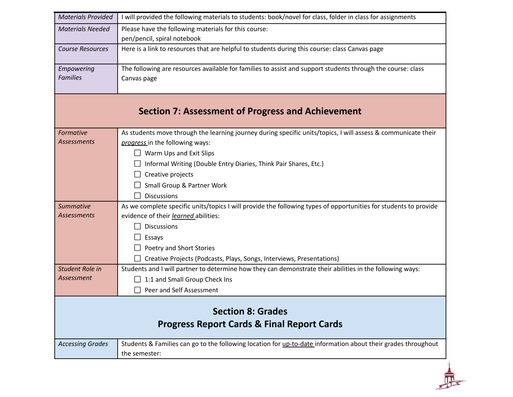| <b>Materials Provided</b>                                | I will provided the following materials to students: book/novel for class, folder in class for assignments                                                                        |  |  |  |  |  |
|----------------------------------------------------------|-----------------------------------------------------------------------------------------------------------------------------------------------------------------------------------|--|--|--|--|--|
| <b>Materials Needed</b>                                  | Please have the following materials for this course:<br>pen/pencil, spiral notebook                                                                                               |  |  |  |  |  |
| <b>Course Resources</b>                                  | Here is a link to resources that are helpful to students during this course: class Canvas page                                                                                    |  |  |  |  |  |
| Empowering<br><b>Families</b>                            | The following are resources available for families to assist and support students through the course: class<br>Canvas page                                                        |  |  |  |  |  |
| <b>Section 7: Assessment of Progress and Achievement</b> |                                                                                                                                                                                   |  |  |  |  |  |
| Formative                                                | As students move through the learning journey during specific units/topics, I will assess & communicate their                                                                     |  |  |  |  |  |
| <b>Assessments</b>                                       | progress in the following ways:                                                                                                                                                   |  |  |  |  |  |
|                                                          | Warm Ups and Exit Slips                                                                                                                                                           |  |  |  |  |  |
|                                                          | Informal Writing (Double Entry Diaries, Think Pair Shares, Etc.)                                                                                                                  |  |  |  |  |  |
|                                                          | Creative projects                                                                                                                                                                 |  |  |  |  |  |
|                                                          | Small Group & Partner Work                                                                                                                                                        |  |  |  |  |  |
|                                                          | <b>Discussions</b>                                                                                                                                                                |  |  |  |  |  |
| <b>Summative</b><br><b>Assessments</b>                   | As we complete specific units/topics I will provide the following types of opportunities for students to provide<br>evidence of their learned abilities:                          |  |  |  |  |  |
|                                                          | <b>Discussions</b>                                                                                                                                                                |  |  |  |  |  |
|                                                          |                                                                                                                                                                                   |  |  |  |  |  |
|                                                          | Essays                                                                                                                                                                            |  |  |  |  |  |
|                                                          | Poetry and Short Stories                                                                                                                                                          |  |  |  |  |  |
| Student Role in                                          | Creative Projects (Podcasts, Plays, Songs, Interviews, Presentations)<br>Students and I will partner to determine how they can demonstrate their abilities in the following ways: |  |  |  |  |  |
| Assessment                                               | 1:1 and Small Group Check Ins                                                                                                                                                     |  |  |  |  |  |
|                                                          | Peer and Self Assessment                                                                                                                                                          |  |  |  |  |  |
|                                                          |                                                                                                                                                                                   |  |  |  |  |  |
|                                                          | <b>Section 8: Grades</b>                                                                                                                                                          |  |  |  |  |  |
|                                                          | <b>Progress Report Cards &amp; Final Report Cards</b>                                                                                                                             |  |  |  |  |  |
| <b>Accessing Grades</b>                                  | Students & Families can go to the following location for up-to-date information about their grades throughout                                                                     |  |  |  |  |  |
|                                                          | the semester:                                                                                                                                                                     |  |  |  |  |  |
|                                                          |                                                                                                                                                                                   |  |  |  |  |  |
|                                                          |                                                                                                                                                                                   |  |  |  |  |  |
|                                                          |                                                                                                                                                                                   |  |  |  |  |  |